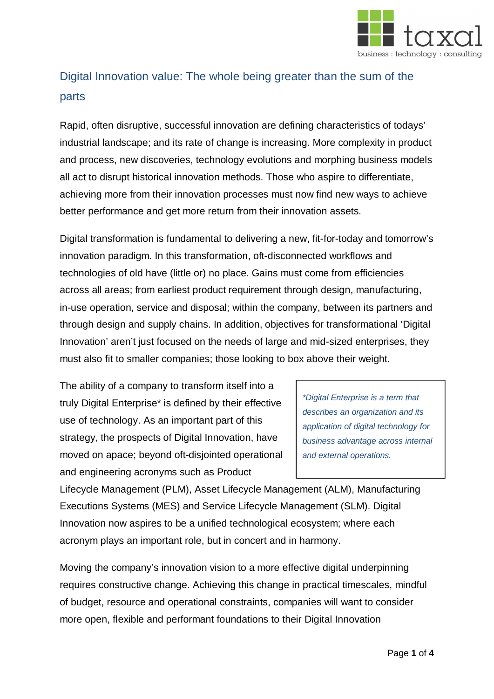

## Digital Innovation value: The whole being greater than the sum of the parts

Rapid, often disruptive, successful innovation are defining characteristics of todays' industrial landscape; and its rate of change is increasing. More complexity in product and process, new discoveries, technology evolutions and morphing business models all act to disrupt historical innovation methods. Those who aspire to differentiate, achieving more from their innovation processes must now find new ways to achieve better performance and get more return from their innovation assets.

Digital transformation is fundamental to delivering a new, fit-for-today and tomorrow's innovation paradigm. In this transformation, oft-disconnected workflows and technologies of old have (little or) no place. Gains must come from efficiencies across all areas; from earliest product requirement through design, manufacturing, in-use operation, service and disposal; within the company, between its partners and through design and supply chains. In addition, objectives for transformational 'Digital Innovation' aren't just focused on the needs of large and mid-sized enterprises, they must also fit to smaller companies; those looking to box above their weight.

The ability of a company to transform itself into a truly Digital Enterprise\* is defined by their effective use of technology. As an important part of this strategy, the prospects of Digital Innovation, have moved on apace; beyond oft-disjointed operational and engineering acronyms such as Product

*\*Digital Enterprise is a term that describes an organization and its application of digital technology for business advantage across internal and external operations.*

Lifecycle Management (PLM), Asset Lifecycle Management (ALM), Manufacturing Executions Systems (MES) and Service Lifecycle Management (SLM). Digital Innovation now aspires to be a unified technological ecosystem; where each acronym plays an important role, but in concert and in harmony.

Moving the company's innovation vision to a more effective digital underpinning requires constructive change. Achieving this change in practical timescales, mindful of budget, resource and operational constraints, companies will want to consider more open, flexible and performant foundations to their Digital Innovation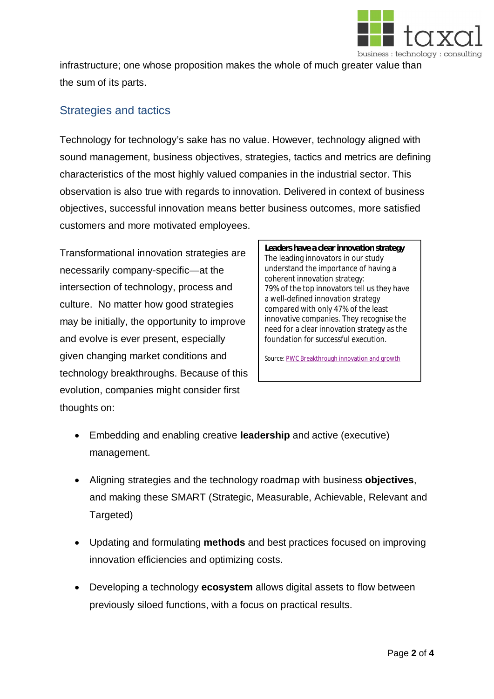

infrastructure; one whose proposition makes the whole of much greater value than the sum of its parts.

## Strategies and tactics

Technology for technology's sake has no value. However, technology aligned with sound management, business objectives, strategies, tactics and metrics are defining characteristics of the most highly valued companies in the industrial sector. This observation is also true with regards to innovation. Delivered in context of business objectives, successful innovation means better business outcomes, more satisfied customers and more motivated employees.

Transformational innovation strategies are necessarily company-specific—at the intersection of technology, process and culture. No matter how good strategies may be initially, the opportunity to improve and evolve is ever present, especially given changing market conditions and technology breakthroughs. Because of this evolution, companies might consider first thoughts on:

**Leaders have a clear innovation strategy** The leading innovators in our study understand the importance of having a coherent innovation strategy: 79% of the top innovators tell us they have a well-defined innovation strategy compared with only 47% of the least innovative companies. They recognise the need for a clear innovation strategy as the foundation for successful execution.

Source: [PWC Breakthrough innovation and growth](https://www.pwc.co.uk/assets/pdf/achieving-business-growth.pdf)

- x Embedding and enabling creative **leadership** and active (executive) management.
- x Aligning strategies and the technology roadmap with business **objectives**, and making these SMART (Strategic, Measurable, Achievable, Relevant and Targeted)
- Updating and formulating **methods** and best practices focused on improving innovation efficiencies and optimizing costs.
- x Developing a technology **ecosystem** allows digital assets to flow between previously siloed functions, with a focus on practical results.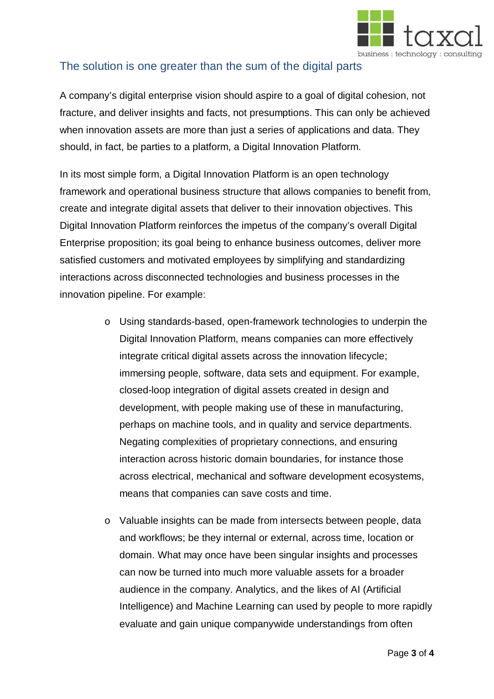

## The solution is one greater than the sum of the digital parts

A company's digital enterprise vision should aspire to a goal of digital cohesion, not fracture, and deliver insights and facts, not presumptions. This can only be achieved when innovation assets are more than just a series of applications and data. They should, in fact, be parties to a platform, a Digital Innovation Platform.

In its most simple form, a Digital Innovation Platform is an open technology framework and operational business structure that allows companies to benefit from, create and integrate digital assets that deliver to their innovation objectives. This Digital Innovation Platform reinforces the impetus of the company's overall Digital Enterprise proposition; its goal being to enhance business outcomes, deliver more satisfied customers and motivated employees by simplifying and standardizing interactions across disconnected technologies and business processes in the innovation pipeline. For example:

- o Using standards-based, open-framework technologies to underpin the Digital Innovation Platform, means companies can more effectively integrate critical digital assets across the innovation lifecycle; immersing people, software, data sets and equipment. For example, closed-loop integration of digital assets created in design and development, with people making use of these in manufacturing, perhaps on machine tools, and in quality and service departments. Negating complexities of proprietary connections, and ensuring interaction across historic domain boundaries, for instance those across electrical, mechanical and software development ecosystems, means that companies can save costs and time.
- o Valuable insights can be made from intersects between people, data and workflows; be they internal or external, across time, location or domain. What may once have been singular insights and processes can now be turned into much more valuable assets for a broader audience in the company. Analytics, and the likes of AI (Artificial Intelligence) and Machine Learning can used by people to more rapidly evaluate and gain unique companywide understandings from often